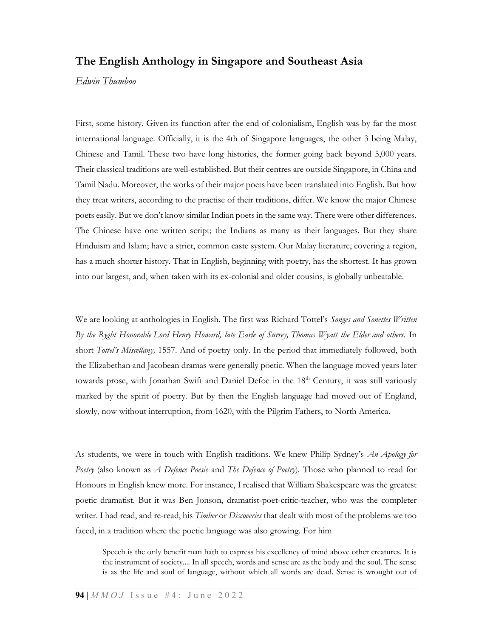## The English Anthology in Singapore and Southeast Asia

Edwin Thumboo

First, some history. Given its function after the end of colonialism, English was by far the most international language. Officially, it is the 4th of Singapore languages, the other 3 being Malay, Chinese and Tamil. These two have long histories, the former going back beyond 5,000 years. Their classical traditions are well-established. But their centres are outside Singapore, in China and Tamil Nadu. Moreover, the works of their major poets have been translated into English. But how they treat writers, according to the practise of their traditions, differ. We know the major Chinese poets easily. But we don't know similar Indian poets in the same way. There were other differences. The Chinese have one written script; the Indians as many as their languages. But they share Hinduism and Islam; have a strict, common caste system. Our Malay literature, covering a region, has a much shorter history. That in English, beginning with poetry, has the shortest. It has grown into our largest, and, when taken with its ex-colonial and older cousins, is globally unbeatable.

We are looking at anthologies in English. The first was Richard Tottel's Songes and Sonettes Written By the Ryght Honorable Lord Henry Howard, late Earle of Surrey, Thomas Wyatt the Elder and others. In short *Tottel's Miscellany*, 1557. And of poetry only. In the period that immediately followed, both the Elizabethan and Jacobean dramas were generally poetic. When the language moved years later towards prose, with Jonathan Swift and Daniel Defoe in the 18<sup>th</sup> Century, it was still variously marked by the spirit of poetry. But by then the English language had moved out of England, slowly, now without interruption, from 1620, with the Pilgrim Fathers, to North America.

As students, we were in touch with English traditions. We knew Philip Sydney's An Apology for Poetry (also known as *A Defence Poesie* and *The Defence of Poetry*). Those who planned to read for Honours in English knew more. For instance, I realised that William Shakespeare was the greatest poetic dramatist. But it was Ben Jonson, dramatist-poet-critic-teacher, who was the completer writer. I had read, and re-read, his *Timber* or *Discoveries* that dealt with most of the problems we too faced, in a tradition where the poetic language was also growing. For him

Speech is the only benefit man hath to express his excellency of mind above other creatures. It is the instrument of society.... In all speech, words and sense are as the body and the soul. The sense is as the life and soul of language, without which all words are dead. Sense is wrought out of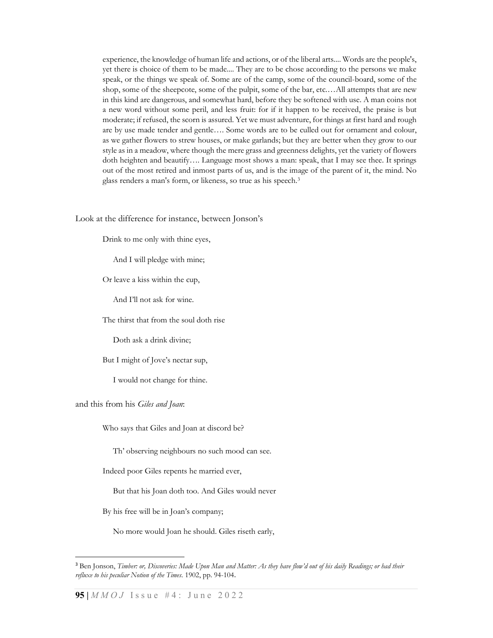experience, the knowledge of human life and actions, or of the liberal arts.... Words are the people's, yet there is choice of them to be made.... They are to be chose according to the persons we make speak, or the things we speak of. Some are of the camp, some of the council-board, some of the shop, some of the sheepcote, some of the pulpit, some of the bar, etc.…All attempts that are new in this kind are dangerous, and somewhat hard, before they be softened with use. A man coins not a new word without some peril, and less fruit: for if it happen to be received, the praise is but moderate; if refused, the scorn is assured. Yet we must adventure, for things at first hard and rough are by use made tender and gentle…. Some words are to be culled out for ornament and colour, as we gather flowers to strew houses, or make garlands; but they are better when they grow to our style as in a meadow, where though the mere grass and greenness delights, yet the variety of flowers doth heighten and beautify…. Language most shows a man: speak, that I may see thee. It springs out of the most retired and inmost parts of us, and is the image of the parent of it, the mind. No glass renders a man's form, or likeness, so true as his speech.<sup>3</sup>

Look at the difference for instance, between Jonson's

Drink to me only with thine eyes,

And I will pledge with mine;

Or leave a kiss within the cup,

And I'll not ask for wine.

The thirst that from the soul doth rise

Doth ask a drink divine;

But I might of Jove's nectar sup,

I would not change for thine.

## and this from his Giles and Joan:

Who says that Giles and Joan at discord be?

Th' observing neighbours no such mood can see.

Indeed poor Giles repents he married ever,

But that his Joan doth too. And Giles would never

By his free will be in Joan's company;

No more would Joan he should. Giles riseth early,

<sup>&</sup>lt;sup>3</sup> Ben Jonson, Timber: or, Discoveries: Made Upon Man and Matter: As they have flow'd out of his daily Readings; or had their refluxe to his peculiar Notion of the Times. 1902, pp. 94-104.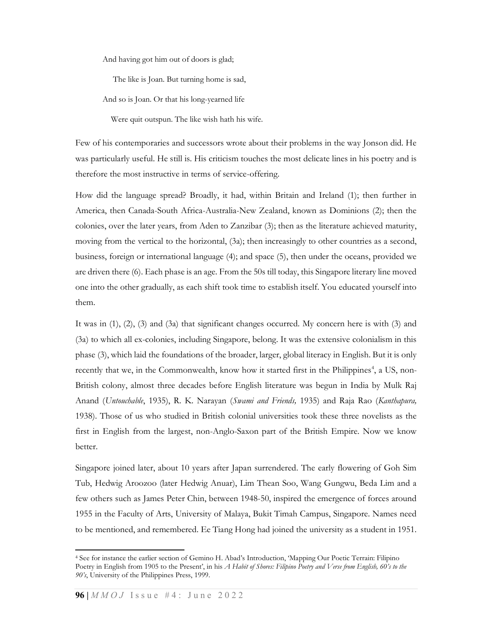And having got him out of doors is glad;

The like is Joan. But turning home is sad,

And so is Joan. Or that his long-yearned life

Were quit outspun. The like wish hath his wife.

Few of his contemporaries and successors wrote about their problems in the way Jonson did. He was particularly useful. He still is. His criticism touches the most delicate lines in his poetry and is therefore the most instructive in terms of service-offering.

How did the language spread? Broadly, it had, within Britain and Ireland (1); then further in America, then Canada-South Africa-Australia-New Zealand, known as Dominions (2); then the colonies, over the later years, from Aden to Zanzibar (3); then as the literature achieved maturity, moving from the vertical to the horizontal, (3a); then increasingly to other countries as a second, business, foreign or international language (4); and space (5), then under the oceans, provided we are driven there (6). Each phase is an age. From the 50s till today, this Singapore literary line moved one into the other gradually, as each shift took time to establish itself. You educated yourself into them.

It was in (1), (2), (3) and (3a) that significant changes occurred. My concern here is with (3) and (3a) to which all ex-colonies, including Singapore, belong. It was the extensive colonialism in this phase (3), which laid the foundations of the broader, larger, global literacy in English. But it is only recently that we, in the Commonwealth, know how it started first in the Philippines<sup>4</sup>, a US, non-British colony, almost three decades before English literature was begun in India by Mulk Raj Anand (Untouchable, 1935), R. K. Narayan (Swami and Friends, 1935) and Raja Rao (Kanthapura, 1938). Those of us who studied in British colonial universities took these three novelists as the first in English from the largest, non-Anglo-Saxon part of the British Empire. Now we know better.

Singapore joined later, about 10 years after Japan surrendered. The early flowering of Goh Sim Tub, Hedwig Aroozoo (later Hedwig Anuar), Lim Thean Soo, Wang Gungwu, Beda Lim and a few others such as James Peter Chin, between 1948-50, inspired the emergence of forces around 1955 in the Faculty of Arts, University of Malaya, Bukit Timah Campus, Singapore. Names need to be mentioned, and remembered. Ee Tiang Hong had joined the university as a student in 1951.

<sup>4</sup> See for instance the earlier section of Gemino H. Abad's Introduction, 'Mapping Our Poetic Terrain: Filipino Poetry in English from 1905 to the Present', in his A Habit of Shores: Filipino Poetry and Verse from English, 60's to the 90's, University of the Philippines Press, 1999.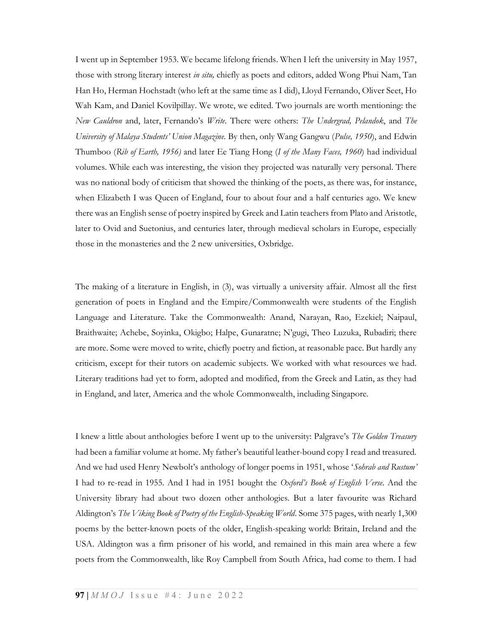I went up in September 1953. We became lifelong friends. When I left the university in May 1957, those with strong literary interest in situ, chiefly as poets and editors, added Wong Phui Nam, Tan Han Ho, Herman Hochstadt (who left at the same time as I did), Lloyd Fernando, Oliver Seet, Ho Wah Kam, and Daniel Kovilpillay. We wrote, we edited. Two journals are worth mentioning: the New Cauldron and, later, Fernando's Write. There were others: The Undergrad, Pelandok, and The University of Malaya Students' Union Magazine. By then, only Wang Gangwu (Pulse, 1950), and Edwin Thumboo (Rib of Earth, 1956) and later Ee Tiang Hong (I of the Many Faces, 1960) had individual volumes. While each was interesting, the vision they projected was naturally very personal. There was no national body of criticism that showed the thinking of the poets, as there was, for instance, when Elizabeth I was Queen of England, four to about four and a half centuries ago. We knew there was an English sense of poetry inspired by Greek and Latin teachers from Plato and Aristotle, later to Ovid and Suetonius, and centuries later, through medieval scholars in Europe, especially those in the monasteries and the 2 new universities, Oxbridge.

The making of a literature in English, in (3), was virtually a university affair. Almost all the first generation of poets in England and the Empire/Commonwealth were students of the English Language and Literature. Take the Commonwealth: Anand, Narayan, Rao, Ezekiel; Naipaul, Braithwaite; Achebe, Soyinka, Okigbo; Halpe, Gunaratne; N'gugi, Theo Luzuka, Rubadiri; there are more. Some were moved to write, chiefly poetry and fiction, at reasonable pace. But hardly any criticism, except for their tutors on academic subjects. We worked with what resources we had. Literary traditions had yet to form, adopted and modified, from the Greek and Latin, as they had in England, and later, America and the whole Commonwealth, including Singapore.

I knew a little about anthologies before I went up to the university: Palgrave's The Golden Treasury had been a familiar volume at home. My father's beautiful leather-bound copy I read and treasured. And we had used Henry Newbolt's anthology of longer poems in 1951, whose 'Sobrab and Rustum' I had to re-read in 1955. And I had in 1951 bought the Oxford's Book of English Verse. And the University library had about two dozen other anthologies. But a later favourite was Richard Aldington's The Viking Book of Poetry of the English-Speaking World. Some 375 pages, with nearly 1,300 poems by the better-known poets of the older, English-speaking world: Britain, Ireland and the USA. Aldington was a firm prisoner of his world, and remained in this main area where a few poets from the Commonwealth, like Roy Campbell from South Africa, had come to them. I had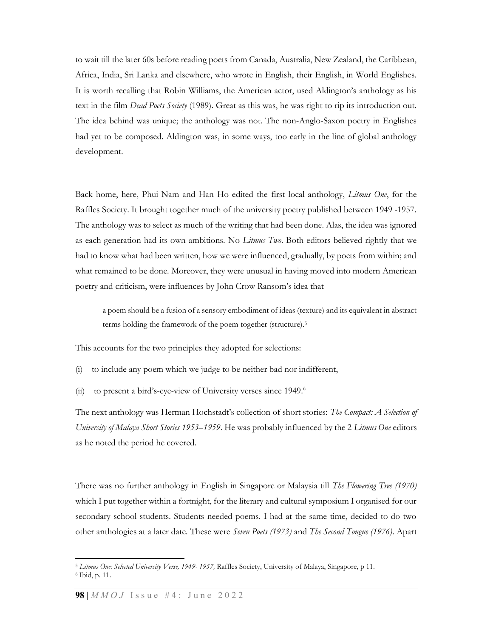to wait till the later 60s before reading poets from Canada, Australia, New Zealand, the Caribbean, Africa, India, Sri Lanka and elsewhere, who wrote in English, their English, in World Englishes. It is worth recalling that Robin Williams, the American actor, used Aldington's anthology as his text in the film *Dead Poets Society* (1989). Great as this was, he was right to rip its introduction out. The idea behind was unique; the anthology was not. The non-Anglo-Saxon poetry in Englishes had yet to be composed. Aldington was, in some ways, too early in the line of global anthology development.

Back home, here, Phui Nam and Han Ho edited the first local anthology, Litmus One, for the Raffles Society. It brought together much of the university poetry published between 1949 -1957. The anthology was to select as much of the writing that had been done. Alas, the idea was ignored as each generation had its own ambitions. No *Litmus Two*. Both editors believed rightly that we had to know what had been written, how we were influenced, gradually, by poets from within; and what remained to be done. Moreover, they were unusual in having moved into modern American poetry and criticism, were influences by John Crow Ransom's idea that

a poem should be a fusion of a sensory embodiment of ideas (texture) and its equivalent in abstract terms holding the framework of the poem together (structure).<sup>5</sup>

This accounts for the two principles they adopted for selections:

- to include any poem which we judge to be neither bad nor indifferent,
- (ii) to present a bird's-eye-view of University verses since 1949.<sup>6</sup>

The next anthology was Herman Hochstadt's collection of short stories: The Compact: A Selection of University of Malaya Short Stories 1953–1959. He was probably influenced by the 2 Litmus One editors as he noted the period he covered.

There was no further anthology in English in Singapore or Malaysia till The Flowering Tree (1970) which I put together within a fortnight, for the literary and cultural symposium I organised for our secondary school students. Students needed poems. I had at the same time, decided to do two other anthologies at a later date. These were Seven Poets (1973) and The Second Tongue (1976). Apart

<sup>&</sup>lt;sup>5</sup> Litmus One: Selected University Verse, 1949- 1957, Raffles Society, University of Malaya, Singapore, p 11.

<sup>6</sup> Ibid, p. 11.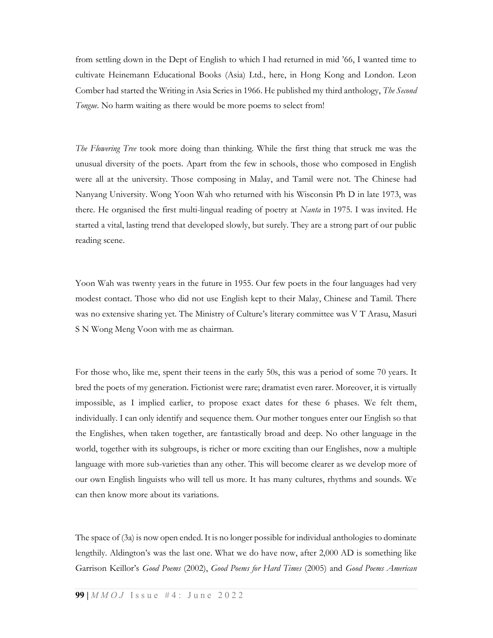from settling down in the Dept of English to which I had returned in mid '66, I wanted time to cultivate Heinemann Educational Books (Asia) Ltd., here, in Hong Kong and London. Leon Comber had started the Writing in Asia Series in 1966. He published my third anthology, *The Second* Tongue. No harm waiting as there would be more poems to select from!

The Flowering Tree took more doing than thinking. While the first thing that struck me was the unusual diversity of the poets. Apart from the few in schools, those who composed in English were all at the university. Those composing in Malay, and Tamil were not. The Chinese had Nanyang University. Wong Yoon Wah who returned with his Wisconsin Ph D in late 1973, was there. He organised the first multi-lingual reading of poetry at *Nanta* in 1975. I was invited. He started a vital, lasting trend that developed slowly, but surely. They are a strong part of our public reading scene.

Yoon Wah was twenty years in the future in 1955. Our few poets in the four languages had very modest contact. Those who did not use English kept to their Malay, Chinese and Tamil. There was no extensive sharing yet. The Ministry of Culture's literary committee was V T Arasu, Masuri S N Wong Meng Voon with me as chairman.

For those who, like me, spent their teens in the early 50s, this was a period of some 70 years. It bred the poets of my generation. Fictionist were rare; dramatist even rarer. Moreover, it is virtually impossible, as I implied earlier, to propose exact dates for these 6 phases. We felt them, individually. I can only identify and sequence them. Our mother tongues enter our English so that the Englishes, when taken together, are fantastically broad and deep. No other language in the world, together with its subgroups, is richer or more exciting than our Englishes, now a multiple language with more sub-varieties than any other. This will become clearer as we develop more of our own English linguists who will tell us more. It has many cultures, rhythms and sounds. We can then know more about its variations.

The space of (3a) is now open ended. It is no longer possible for individual anthologies to dominate lengthily. Aldington's was the last one. What we do have now, after 2,000 AD is something like Garrison Keillor's Good Poems (2002), Good Poems for Hard Times (2005) and Good Poems American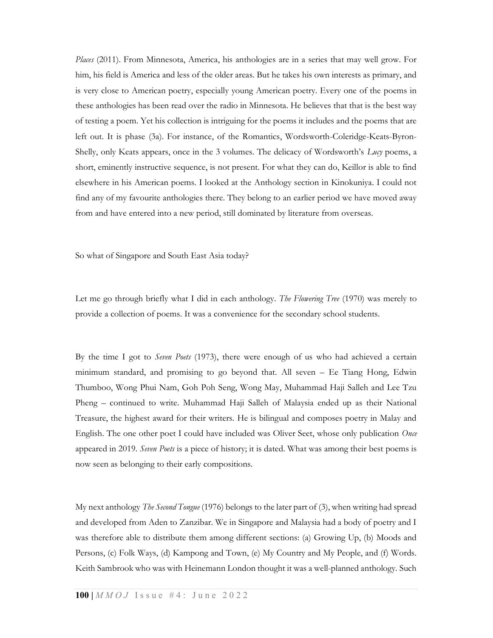Places (2011). From Minnesota, America, his anthologies are in a series that may well grow. For him, his field is America and less of the older areas. But he takes his own interests as primary, and is very close to American poetry, especially young American poetry. Every one of the poems in these anthologies has been read over the radio in Minnesota. He believes that that is the best way of testing a poem. Yet his collection is intriguing for the poems it includes and the poems that are left out. It is phase (3a). For instance, of the Romantics, Wordsworth-Coleridge-Keats-Byron-Shelly, only Keats appears, once in the 3 volumes. The delicacy of Wordsworth's  $Luv$  poems, a short, eminently instructive sequence, is not present. For what they can do, Keillor is able to find elsewhere in his American poems. I looked at the Anthology section in Kinokuniya. I could not find any of my favourite anthologies there. They belong to an earlier period we have moved away from and have entered into a new period, still dominated by literature from overseas.

So what of Singapore and South East Asia today?

Let me go through briefly what I did in each anthology. The Flowering Tree (1970) was merely to provide a collection of poems. It was a convenience for the secondary school students.

By the time I got to *Seven Poets* (1973), there were enough of us who had achieved a certain minimum standard, and promising to go beyond that. All seven – Ee Tiang Hong, Edwin Thumboo, Wong Phui Nam, Goh Poh Seng, Wong May, Muhammad Haji Salleh and Lee Tzu Pheng – continued to write. Muhammad Haji Salleh of Malaysia ended up as their National Treasure, the highest award for their writers. He is bilingual and composes poetry in Malay and English. The one other poet I could have included was Oliver Seet, whose only publication Once appeared in 2019. Seven Poets is a piece of history; it is dated. What was among their best poems is now seen as belonging to their early compositions.

My next anthology *The Second Tongue* (1976) belongs to the later part of (3), when writing had spread and developed from Aden to Zanzibar. We in Singapore and Malaysia had a body of poetry and I was therefore able to distribute them among different sections: (a) Growing Up, (b) Moods and Persons, (c) Folk Ways, (d) Kampong and Town, (e) My Country and My People, and (f) Words. Keith Sambrook who was with Heinemann London thought it was a well-planned anthology. Such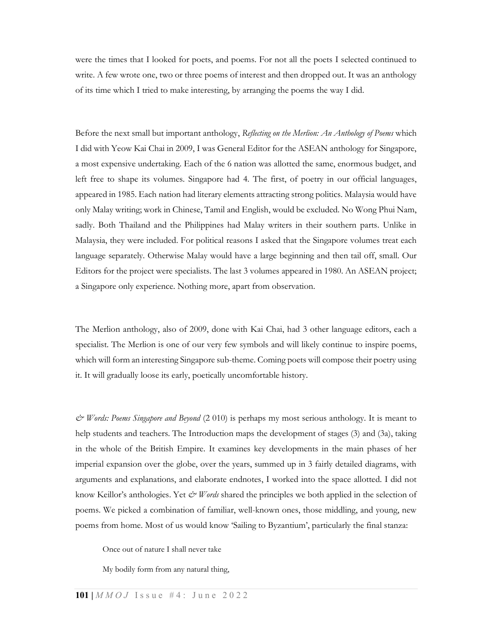were the times that I looked for poets, and poems. For not all the poets I selected continued to write. A few wrote one, two or three poems of interest and then dropped out. It was an anthology of its time which I tried to make interesting, by arranging the poems the way I did.

Before the next small but important anthology, Reflecting on the Merlion: An Anthology of Poems which I did with Yeow Kai Chai in 2009, I was General Editor for the ASEAN anthology for Singapore, a most expensive undertaking. Each of the 6 nation was allotted the same, enormous budget, and left free to shape its volumes. Singapore had 4. The first, of poetry in our official languages, appeared in 1985. Each nation had literary elements attracting strong politics. Malaysia would have only Malay writing; work in Chinese, Tamil and English, would be excluded. No Wong Phui Nam, sadly. Both Thailand and the Philippines had Malay writers in their southern parts. Unlike in Malaysia, they were included. For political reasons I asked that the Singapore volumes treat each language separately. Otherwise Malay would have a large beginning and then tail off, small. Our Editors for the project were specialists. The last 3 volumes appeared in 1980. An ASEAN project; a Singapore only experience. Nothing more, apart from observation.

The Merlion anthology, also of 2009, done with Kai Chai, had 3 other language editors, each a specialist. The Merlion is one of our very few symbols and will likely continue to inspire poems, which will form an interesting Singapore sub-theme. Coming poets will compose their poetry using it. It will gradually loose its early, poetically uncomfortable history.

 $\mathcal{Q}$  Words: Poems Singapore and Beyond (2 010) is perhaps my most serious anthology. It is meant to help students and teachers. The Introduction maps the development of stages (3) and (3a), taking in the whole of the British Empire. It examines key developments in the main phases of her imperial expansion over the globe, over the years, summed up in 3 fairly detailed diagrams, with arguments and explanations, and elaborate endnotes, I worked into the space allotted. I did not know Keillor's anthologies. Yet  $\mathcal{C}$  *Words* shared the principles we both applied in the selection of poems. We picked a combination of familiar, well-known ones, those middling, and young, new poems from home. Most of us would know 'Sailing to Byzantium', particularly the final stanza:

Once out of nature I shall never take

My bodily form from any natural thing,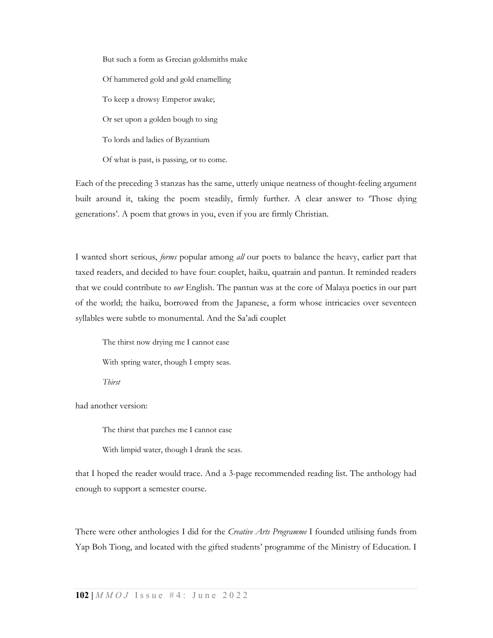But such a form as Grecian goldsmiths make Of hammered gold and gold enamelling To keep a drowsy Emperor awake; Or set upon a golden bough to sing To lords and ladies of Byzantium Of what is past, is passing, or to come.

Each of the preceding 3 stanzas has the same, utterly unique neatness of thought-feeling argument built around it, taking the poem steadily, firmly further. A clear answer to 'Those dying generations'. A poem that grows in you, even if you are firmly Christian.

I wanted short serious, forms popular among all our poets to balance the heavy, earlier part that taxed readers, and decided to have four: couplet, haiku, quatrain and pantun. It reminded readers that we could contribute to our English. The pantun was at the core of Malaya poetics in our part of the world; the haiku, borrowed from the Japanese, a form whose intricacies over seventeen syllables were subtle to monumental. And the Sa'adi couplet

The thirst now drying me I cannot ease

With spring water, though I empty seas.

Thirst

had another version:

The thirst that parches me I cannot ease

With limpid water, though I drank the seas.

that I hoped the reader would trace. And a 3-page recommended reading list. The anthology had enough to support a semester course.

There were other anthologies I did for the Creative Arts Programme I founded utilising funds from Yap Boh Tiong, and located with the gifted students' programme of the Ministry of Education. I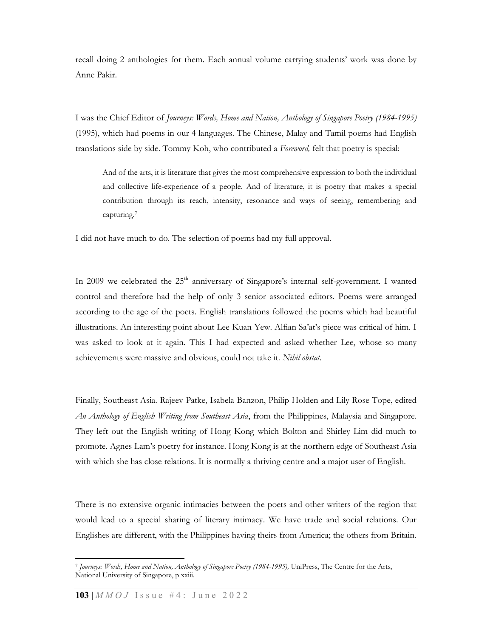recall doing 2 anthologies for them. Each annual volume carrying students' work was done by Anne Pakir.

I was the Chief Editor of Journeys: Words, Home and Nation, Anthology of Singapore Poetry (1984-1995) (1995), which had poems in our 4 languages. The Chinese, Malay and Tamil poems had English translations side by side. Tommy Koh, who contributed a Foreword, felt that poetry is special:

And of the arts, it is literature that gives the most comprehensive expression to both the individual and collective life-experience of a people. And of literature, it is poetry that makes a special contribution through its reach, intensity, resonance and ways of seeing, remembering and capturing.<sup>7</sup>

I did not have much to do. The selection of poems had my full approval.

In 2009 we celebrated the 25<sup>th</sup> anniversary of Singapore's internal self-government. I wanted control and therefore had the help of only 3 senior associated editors. Poems were arranged according to the age of the poets. English translations followed the poems which had beautiful illustrations. An interesting point about Lee Kuan Yew. Alfian Sa'at's piece was critical of him. I was asked to look at it again. This I had expected and asked whether Lee, whose so many achievements were massive and obvious, could not take it. Nihil obstat.

Finally, Southeast Asia. Rajeev Patke, Isabela Banzon, Philip Holden and Lily Rose Tope, edited An Anthology of English Writing from Southeast Asia, from the Philippines, Malaysia and Singapore. They left out the English writing of Hong Kong which Bolton and Shirley Lim did much to promote. Agnes Lam's poetry for instance. Hong Kong is at the northern edge of Southeast Asia with which she has close relations. It is normally a thriving centre and a major user of English.

There is no extensive organic intimacies between the poets and other writers of the region that would lead to a special sharing of literary intimacy. We have trade and social relations. Our Englishes are different, with the Philippines having theirs from America; the others from Britain.

<sup>7</sup> Journeys: Words, Home and Nation, Anthology of Singapore Poetry (1984-1995), UniPress, The Centre for the Arts, National University of Singapore, p xxiii.